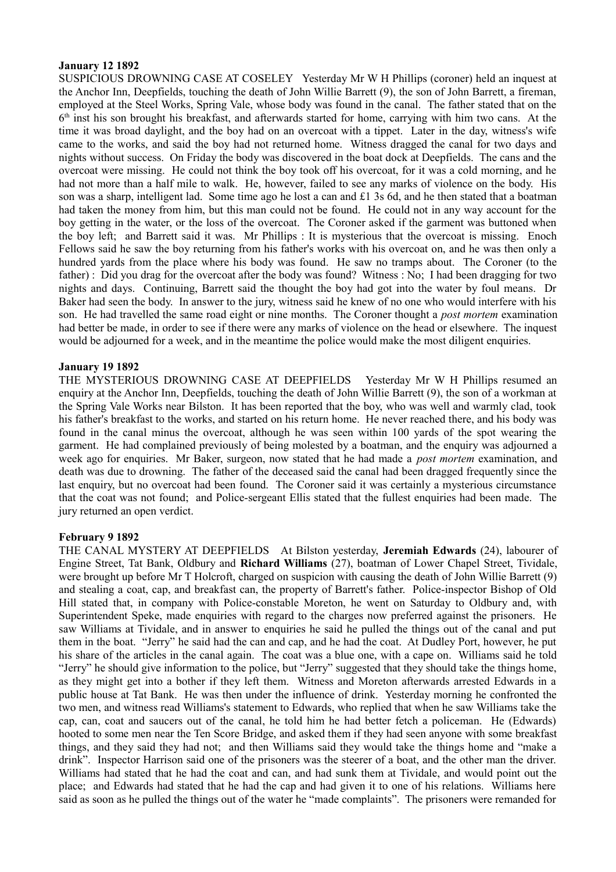## **January 12 1892**

SUSPICIOUS DROWNING CASE AT COSELEY Yesterday Mr W H Phillips (coroner) held an inquest at the Anchor Inn, Deepfields, touching the death of John Willie Barrett (9), the son of John Barrett, a fireman, employed at the Steel Works, Spring Vale, whose body was found in the canal. The father stated that on the 6<sup>th</sup> inst his son brought his breakfast, and afterwards started for home, carrying with him two cans. At the time it was broad daylight, and the boy had on an overcoat with a tippet. Later in the day, witness's wife came to the works, and said the boy had not returned home. Witness dragged the canal for two days and nights without success. On Friday the body was discovered in the boat dock at Deepfields. The cans and the overcoat were missing. He could not think the boy took off his overcoat, for it was a cold morning, and he had not more than a half mile to walk. He, however, failed to see any marks of violence on the body. His son was a sharp, intelligent lad. Some time ago he lost a can and £1 3s 6d, and he then stated that a boatman had taken the money from him, but this man could not be found. He could not in any way account for the boy getting in the water, or the loss of the overcoat. The Coroner asked if the garment was buttoned when the boy left; and Barrett said it was. Mr Phillips : It is mysterious that the overcoat is missing. Enoch Fellows said he saw the boy returning from his father's works with his overcoat on, and he was then only a hundred yards from the place where his body was found. He saw no tramps about. The Coroner (to the father) : Did you drag for the overcoat after the body was found? Witness : No; I had been dragging for two nights and days. Continuing, Barrett said the thought the boy had got into the water by foul means. Dr Baker had seen the body. In answer to the jury, witness said he knew of no one who would interfere with his son. He had travelled the same road eight or nine months. The Coroner thought a *post mortem* examination had better be made, in order to see if there were any marks of violence on the head or elsewhere. The inquest would be adjourned for a week, and in the meantime the police would make the most diligent enquiries.

## **January 19 1892**

THE MYSTERIOUS DROWNING CASE AT DEEPFIELDS Yesterday Mr W H Phillips resumed an enquiry at the Anchor Inn, Deepfields, touching the death of John Willie Barrett (9), the son of a workman at the Spring Vale Works near Bilston. It has been reported that the boy, who was well and warmly clad, took his father's breakfast to the works, and started on his return home. He never reached there, and his body was found in the canal minus the overcoat, although he was seen within 100 yards of the spot wearing the garment. He had complained previously of being molested by a boatman, and the enquiry was adjourned a week ago for enquiries. Mr Baker, surgeon, now stated that he had made a *post mortem* examination, and death was due to drowning. The father of the deceased said the canal had been dragged frequently since the last enquiry, but no overcoat had been found. The Coroner said it was certainly a mysterious circumstance that the coat was not found; and Police-sergeant Ellis stated that the fullest enquiries had been made. The jury returned an open verdict.

#### **February 9 1892**

THE CANAL MYSTERY AT DEEPFIELDS At Bilston yesterday, **Jeremiah Edwards** (24), labourer of Engine Street, Tat Bank, Oldbury and **Richard Williams** (27), boatman of Lower Chapel Street, Tividale, were brought up before Mr T Holcroft, charged on suspicion with causing the death of John Willie Barrett (9) and stealing a coat, cap, and breakfast can, the property of Barrett's father. Police-inspector Bishop of Old Hill stated that, in company with Police-constable Moreton, he went on Saturday to Oldbury and, with Superintendent Speke, made enquiries with regard to the charges now preferred against the prisoners. He saw Williams at Tividale, and in answer to enquiries he said he pulled the things out of the canal and put them in the boat. "Jerry" he said had the can and cap, and he had the coat. At Dudley Port, however, he put his share of the articles in the canal again. The coat was a blue one, with a cape on. Williams said he told "Jerry" he should give information to the police, but "Jerry" suggested that they should take the things home, as they might get into a bother if they left them. Witness and Moreton afterwards arrested Edwards in a public house at Tat Bank. He was then under the influence of drink. Yesterday morning he confronted the two men, and witness read Williams's statement to Edwards, who replied that when he saw Williams take the cap, can, coat and saucers out of the canal, he told him he had better fetch a policeman. He (Edwards) hooted to some men near the Ten Score Bridge, and asked them if they had seen anyone with some breakfast things, and they said they had not; and then Williams said they would take the things home and "make a drink". Inspector Harrison said one of the prisoners was the steerer of a boat, and the other man the driver. Williams had stated that he had the coat and can, and had sunk them at Tividale, and would point out the place; and Edwards had stated that he had the cap and had given it to one of his relations. Williams here said as soon as he pulled the things out of the water he "made complaints". The prisoners were remanded for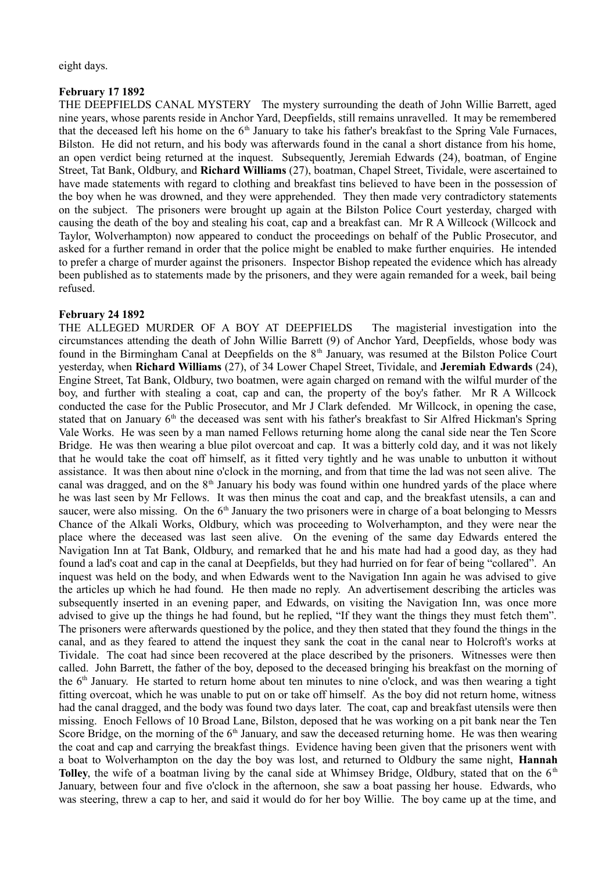eight days.

## **February 17 1892**

THE DEEPFIELDS CANAL MYSTERY The mystery surrounding the death of John Willie Barrett, aged nine years, whose parents reside in Anchor Yard, Deepfields, still remains unravelled. It may be remembered that the deceased left his home on the  $6<sup>th</sup>$  January to take his father's breakfast to the Spring Vale Furnaces, Bilston. He did not return, and his body was afterwards found in the canal a short distance from his home, an open verdict being returned at the inquest. Subsequently, Jeremiah Edwards (24), boatman, of Engine Street, Tat Bank, Oldbury, and **Richard Williams** (27), boatman, Chapel Street, Tividale, were ascertained to have made statements with regard to clothing and breakfast tins believed to have been in the possession of the boy when he was drowned, and they were apprehended. They then made very contradictory statements on the subject. The prisoners were brought up again at the Bilston Police Court yesterday, charged with causing the death of the boy and stealing his coat, cap and a breakfast can. Mr R A Willcock (Willcock and Taylor, Wolverhampton) now appeared to conduct the proceedings on behalf of the Public Prosecutor, and asked for a further remand in order that the police might be enabled to make further enquiries. He intended to prefer a charge of murder against the prisoners. Inspector Bishop repeated the evidence which has already been published as to statements made by the prisoners, and they were again remanded for a week, bail being refused.

# **February 24 1892**

THE ALLEGED MURDER OF A BOY AT DEEPFIELDS The magisterial investigation into the circumstances attending the death of John Willie Barrett (9) of Anchor Yard, Deepfields, whose body was found in the Birmingham Canal at Deepfields on the 8<sup>th</sup> January, was resumed at the Bilston Police Court yesterday, when **Richard Williams** (27), of 34 Lower Chapel Street, Tividale, and **Jeremiah Edwards** (24), Engine Street, Tat Bank, Oldbury, two boatmen, were again charged on remand with the wilful murder of the boy, and further with stealing a coat, cap and can, the property of the boy's father. Mr R A Willcock conducted the case for the Public Prosecutor, and Mr J Clark defended. Mr Willcock, in opening the case, stated that on January  $6<sup>th</sup>$  the deceased was sent with his father's breakfast to Sir Alfred Hickman's Spring Vale Works. He was seen by a man named Fellows returning home along the canal side near the Ten Score Bridge. He was then wearing a blue pilot overcoat and cap. It was a bitterly cold day, and it was not likely that he would take the coat off himself, as it fitted very tightly and he was unable to unbutton it without assistance. It was then about nine o'clock in the morning, and from that time the lad was not seen alive. The canal was dragged, and on the  $8<sup>th</sup>$  January his body was found within one hundred vards of the place where he was last seen by Mr Fellows. It was then minus the coat and cap, and the breakfast utensils, a can and saucer, were also missing. On the  $6<sup>th</sup>$  January the two prisoners were in charge of a boat belonging to Messrs Chance of the Alkali Works, Oldbury, which was proceeding to Wolverhampton, and they were near the place where the deceased was last seen alive. On the evening of the same day Edwards entered the Navigation Inn at Tat Bank, Oldbury, and remarked that he and his mate had had a good day, as they had found a lad's coat and cap in the canal at Deepfields, but they had hurried on for fear of being "collared". An inquest was held on the body, and when Edwards went to the Navigation Inn again he was advised to give the articles up which he had found. He then made no reply. An advertisement describing the articles was subsequently inserted in an evening paper, and Edwards, on visiting the Navigation Inn, was once more advised to give up the things he had found, but he replied, "If they want the things they must fetch them". The prisoners were afterwards questioned by the police, and they then stated that they found the things in the canal, and as they feared to attend the inquest they sank the coat in the canal near to Holcroft's works at Tividale. The coat had since been recovered at the place described by the prisoners. Witnesses were then called. John Barrett, the father of the boy, deposed to the deceased bringing his breakfast on the morning of the  $6<sup>th</sup>$  January. He started to return home about ten minutes to nine o'clock, and was then wearing a tight fitting overcoat, which he was unable to put on or take off himself. As the boy did not return home, witness had the canal dragged, and the body was found two days later. The coat, cap and breakfast utensils were then missing. Enoch Fellows of 10 Broad Lane, Bilston, deposed that he was working on a pit bank near the Ten Score Bridge, on the morning of the  $6<sup>th</sup>$  January, and saw the deceased returning home. He was then wearing the coat and cap and carrying the breakfast things. Evidence having been given that the prisoners went with a boat to Wolverhampton on the day the boy was lost, and returned to Oldbury the same night, **Hannah Tolley**, the wife of a boatman living by the canal side at Whimsey Bridge, Oldbury, stated that on the 6<sup>th</sup> January, between four and five o'clock in the afternoon, she saw a boat passing her house. Edwards, who was steering, threw a cap to her, and said it would do for her boy Willie. The boy came up at the time, and